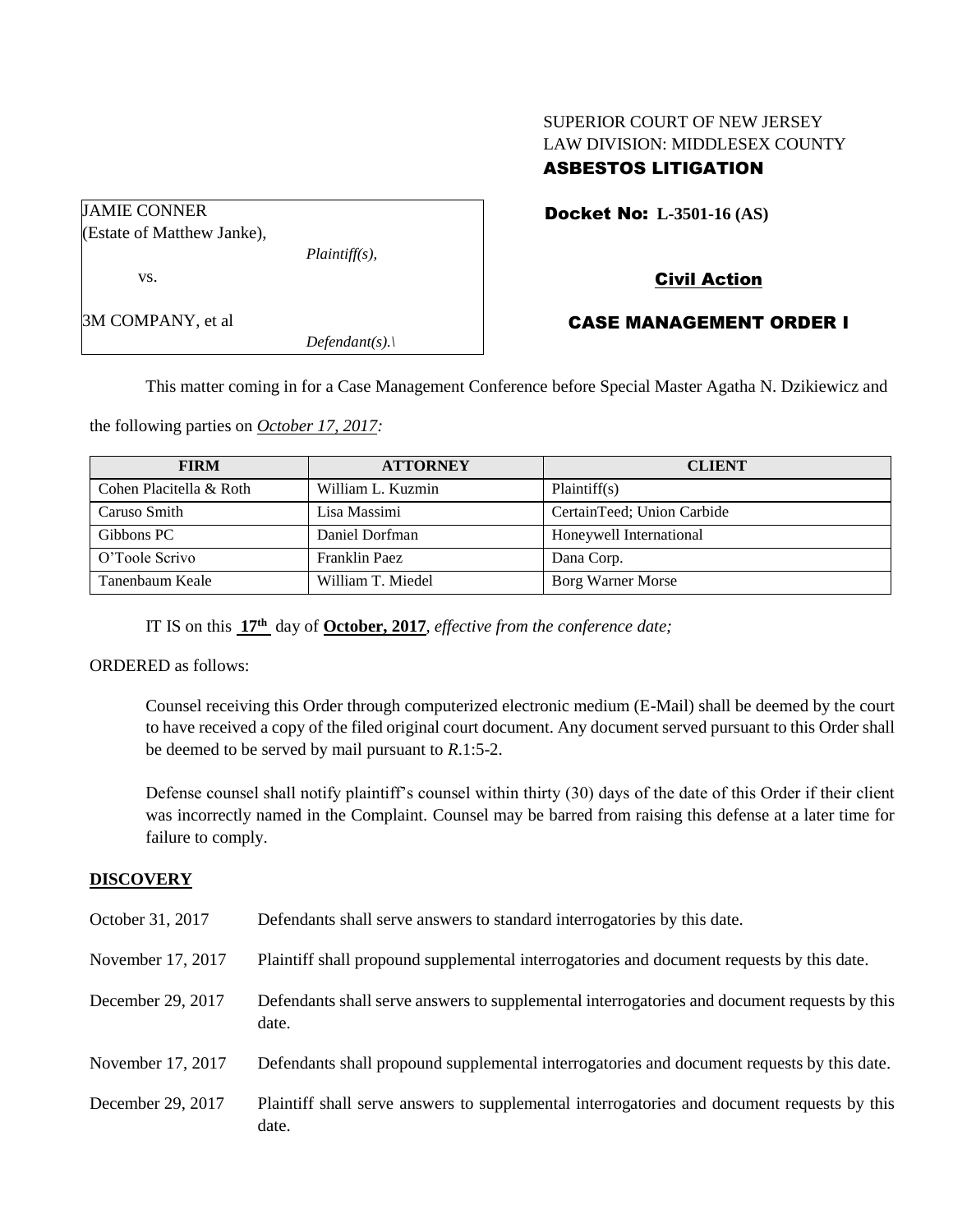# SUPERIOR COURT OF NEW JERSEY LAW DIVISION: MIDDLESEX COUNTY ASBESTOS LITIGATION

| (Estate of Matthew Janke), |
|----------------------------|
|                            |

vs.

JAMIE CONNER

3M COMPANY, et al

# Civil Action

## CASE MANAGEMENT ORDER I

This matter coming in for a Case Management Conference before Special Master Agatha N. Dzikiewicz and

the following parties on *October 17, 2017:*

*Plaintiff(s),*

*Defendant(s).\*

| <b>FIRM</b>             | <b>ATTORNEY</b>   | <b>CLIENT</b>              |
|-------------------------|-------------------|----------------------------|
| Cohen Placitella & Roth | William L. Kuzmin | Plaintiff(s)               |
| Caruso Smith            | Lisa Massimi      | CertainTeed; Union Carbide |
| Gibbons PC              | Daniel Dorfman    | Honeywell International    |
| O'Toole Scrivo          | Franklin Paez     | Dana Corp.                 |
| Tanenbaum Keale         | William T. Miedel | Borg Warner Morse          |

IT IS on this **17th** day of **October, 2017**, *effective from the conference date;*

ORDERED as follows:

Counsel receiving this Order through computerized electronic medium (E-Mail) shall be deemed by the court to have received a copy of the filed original court document. Any document served pursuant to this Order shall be deemed to be served by mail pursuant to *R*.1:5-2.

Defense counsel shall notify plaintiff's counsel within thirty (30) days of the date of this Order if their client was incorrectly named in the Complaint. Counsel may be barred from raising this defense at a later time for failure to comply.

### **DISCOVERY**

| October 31, 2017  | Defendants shall serve answers to standard interrogatories by this date.                              |
|-------------------|-------------------------------------------------------------------------------------------------------|
| November 17, 2017 | Plaintiff shall propound supplemental interrogatories and document requests by this date.             |
| December 29, 2017 | Defendants shall serve answers to supplemental interrogatories and document requests by this<br>date. |
| November 17, 2017 | Defendants shall propound supplemental interrogatories and document requests by this date.            |
| December 29, 2017 | Plaintiff shall serve answers to supplemental interrogatories and document requests by this<br>date.  |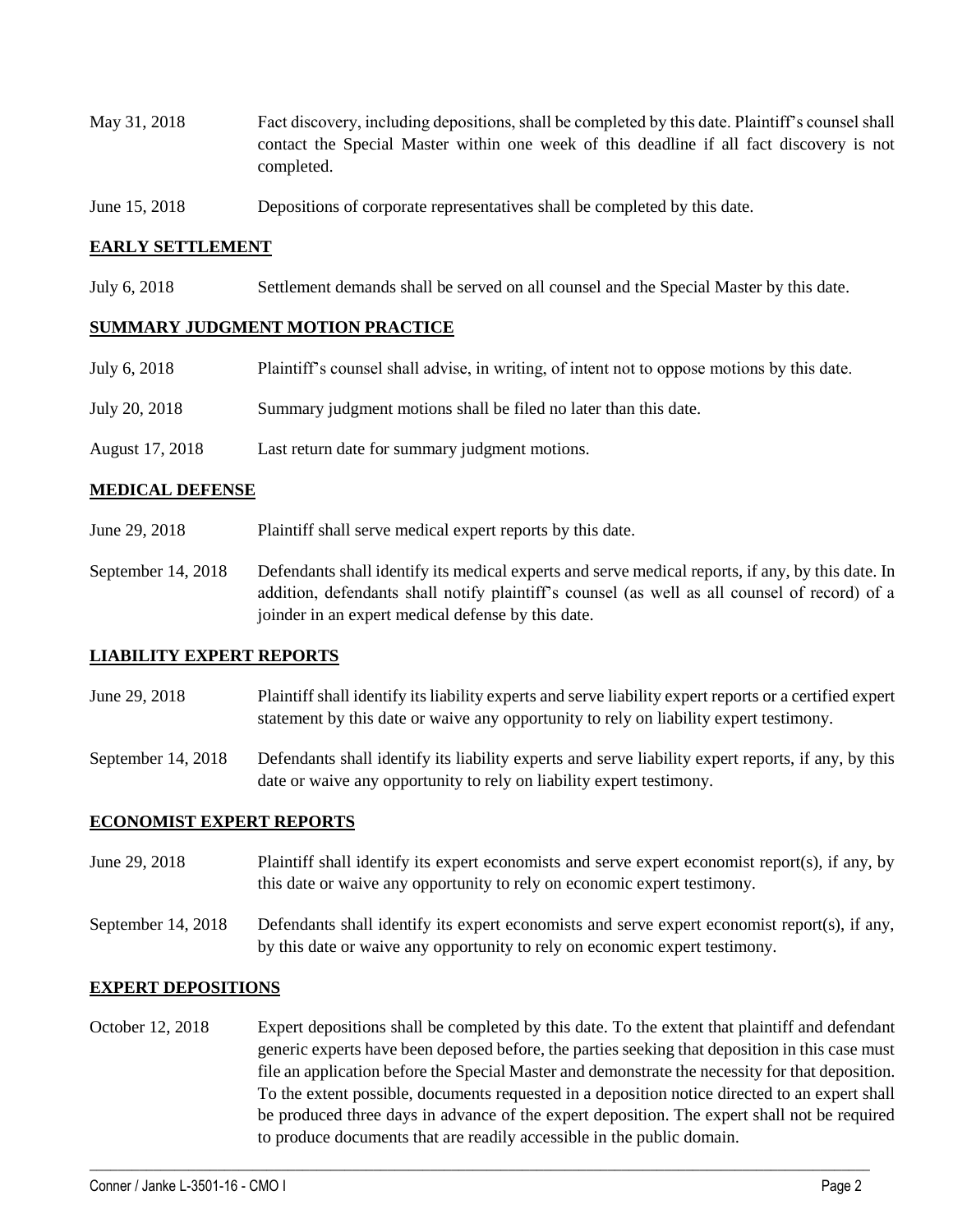- May 31, 2018 Fact discovery, including depositions, shall be completed by this date. Plaintiff's counsel shall contact the Special Master within one week of this deadline if all fact discovery is not completed.
- June 15, 2018 Depositions of corporate representatives shall be completed by this date.

### **EARLY SETTLEMENT**

July 6, 2018 Settlement demands shall be served on all counsel and the Special Master by this date.

### **SUMMARY JUDGMENT MOTION PRACTICE**

| July 6, 2018    | Plaintiff's counsel shall advise, in writing, of intent not to oppose motions by this date. |
|-----------------|---------------------------------------------------------------------------------------------|
| July 20, 2018   | Summary judgment motions shall be filed no later than this date.                            |
| August 17, 2018 | Last return date for summary judgment motions.                                              |

### **MEDICAL DEFENSE**

- June 29, 2018 Plaintiff shall serve medical expert reports by this date.
- September 14, 2018 Defendants shall identify its medical experts and serve medical reports, if any, by this date. In addition, defendants shall notify plaintiff's counsel (as well as all counsel of record) of a joinder in an expert medical defense by this date.

#### **LIABILITY EXPERT REPORTS**

- June 29, 2018 Plaintiff shall identify its liability experts and serve liability expert reports or a certified expert statement by this date or waive any opportunity to rely on liability expert testimony.
- September 14, 2018 Defendants shall identify its liability experts and serve liability expert reports, if any, by this date or waive any opportunity to rely on liability expert testimony.

### **ECONOMIST EXPERT REPORTS**

- June 29, 2018 Plaintiff shall identify its expert economists and serve expert economist report(s), if any, by this date or waive any opportunity to rely on economic expert testimony.
- September 14, 2018 Defendants shall identify its expert economists and serve expert economist report(s), if any, by this date or waive any opportunity to rely on economic expert testimony.

#### **EXPERT DEPOSITIONS**

October 12, 2018 Expert depositions shall be completed by this date. To the extent that plaintiff and defendant generic experts have been deposed before, the parties seeking that deposition in this case must file an application before the Special Master and demonstrate the necessity for that deposition. To the extent possible, documents requested in a deposition notice directed to an expert shall be produced three days in advance of the expert deposition. The expert shall not be required to produce documents that are readily accessible in the public domain.

 $\_$  ,  $\_$  ,  $\_$  ,  $\_$  ,  $\_$  ,  $\_$  ,  $\_$  ,  $\_$  ,  $\_$  ,  $\_$  ,  $\_$  ,  $\_$  ,  $\_$  ,  $\_$  ,  $\_$  ,  $\_$  ,  $\_$  ,  $\_$  ,  $\_$  ,  $\_$  ,  $\_$  ,  $\_$  ,  $\_$  ,  $\_$  ,  $\_$  ,  $\_$  ,  $\_$  ,  $\_$  ,  $\_$  ,  $\_$  ,  $\_$  ,  $\_$  ,  $\_$  ,  $\_$  ,  $\_$  ,  $\_$  ,  $\_$  ,